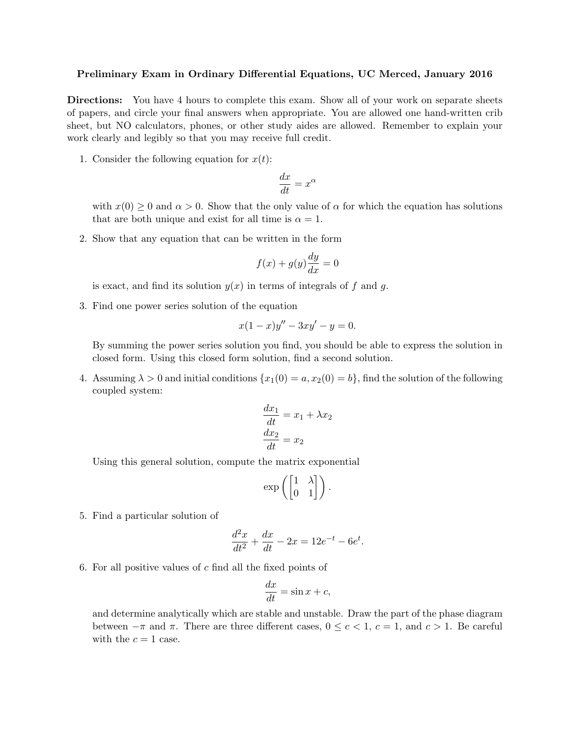## Preliminary Exam in Ordinary Differential Equations, UC Merced, January 2016

Directions: You have 4 hours to complete this exam. Show all of your work on separate sheets of papers, and circle your final answers when appropriate. You are allowed one hand-written crib sheet, but NO calculators, phones, or other study aides are allowed. Remember to explain your work clearly and legibly so that you may receive full credit.

1. Consider the following equation for  $x(t)$ :

$$
\frac{dx}{dt} = x^{\alpha}
$$

with  $x(0) \geq 0$  and  $\alpha > 0$ . Show that the only value of  $\alpha$  for which the equation has solutions that are both unique and exist for all time is  $\alpha = 1$ .

2. Show that any equation that can be written in the form

$$
f(x) + g(y)\frac{dy}{dx} = 0
$$

is exact, and find its solution  $y(x)$  in terms of integrals of f and g.

3. Find one power series solution of the equation

$$
x(1-x)y'' - 3xy' - y = 0.
$$

By summing the power series solution you find, you should be able to express the solution in closed form. Using this closed form solution, find a second solution.

4. Assuming  $\lambda > 0$  and initial conditions  $\{x_1(0) = a, x_2(0) = b\}$ , find the solution of the following coupled system:

$$
\frac{dx_1}{dt} = x_1 + \lambda x_2
$$

$$
\frac{dx_2}{dt} = x_2
$$

Using this general solution, compute the matrix exponential

$$
\exp\left(\begin{bmatrix} 1 & \lambda \\ 0 & 1 \end{bmatrix}\right).
$$

5. Find a particular solution of

$$
\frac{d^2x}{dt^2} + \frac{dx}{dt} - 2x = 12e^{-t} - 6e^t.
$$

6. For all positive values of  $c$  find all the fixed points of

$$
\frac{dx}{dt} = \sin x + c,
$$

and determine analytically which are stable and unstable. Draw the part of the phase diagram between  $-\pi$  and  $\pi$ . There are three different cases,  $0 \leq c < 1$ ,  $c = 1$ , and  $c > 1$ . Be careful with the  $c = 1$  case.